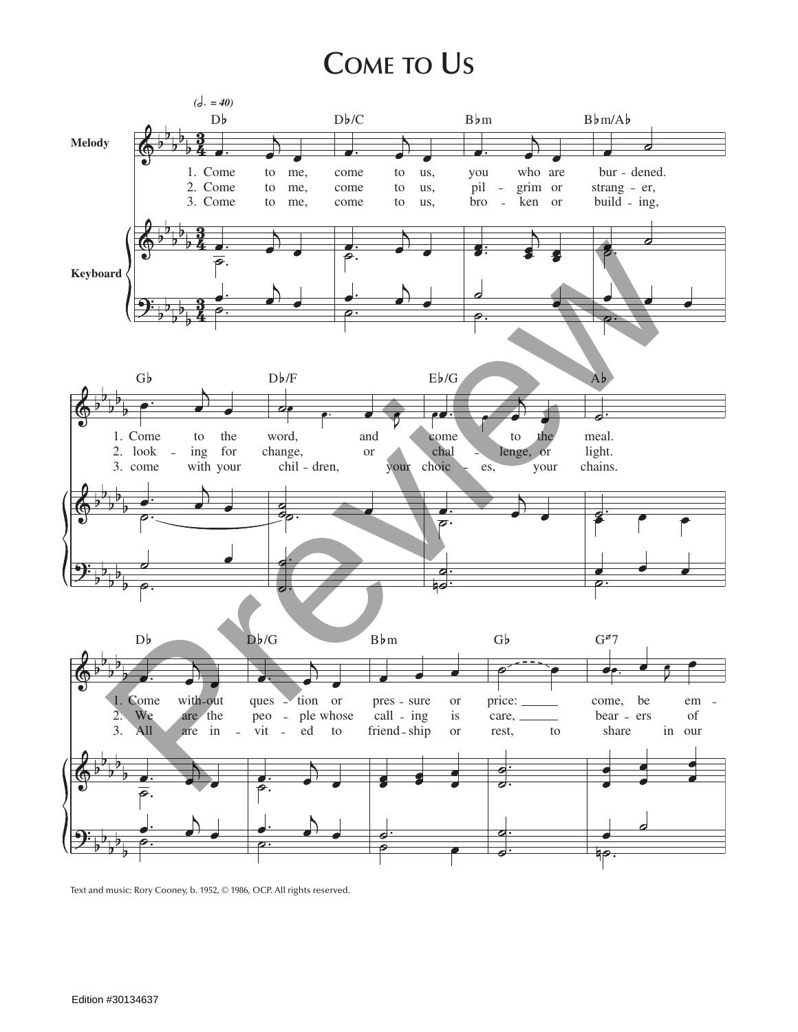## **Come to Us**



Text and music: Rory Cooney, b. 1952, © 1986, OCP. All rights reserved.